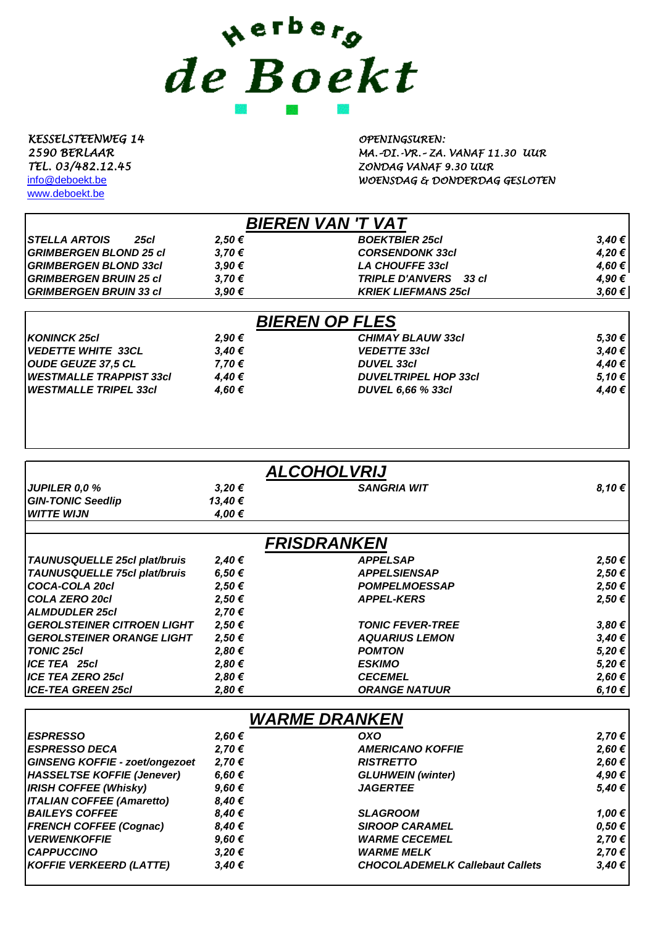## werberg<br>de Boekt

*KESSELSTEENWEG 14 OPENINGSUREN:*

[www.deboekt.be](http://www.deboekt.be/)

*2590 BERLAAR MA.–DI.-VR.– ZA. VANAF 11.30 UUR TEL. 03/482.12.45 ZONDAG VANAF 9.30 UUR* [info@deboekt.be](mailto:info@deboekt.be) *WOENSDAG & DONDERDAG GESLOTEN*

| <b>BIEREN VAN 'T VAT</b>            |       |                            |        |
|-------------------------------------|-------|----------------------------|--------|
| <b>STELLA ARTOIS</b><br><b>25cl</b> | 2.50€ | <b>BOEKTBIER 25cl</b>      | 3,40€  |
| <b>GRIMBERGEN BLOND 25 cl</b>       | 3.70€ | <b>CORSENDONK 33cl</b>     | 4,20€  |
| <b>GRIMBERGEN BLOND 33cl</b>        | 3.90€ | <b>LA CHOUFFE 33cl</b>     | 4.60 € |
| <b>GRIMBERGEN BRUIN 25 cl</b>       | 3.70€ | TRIPLE D'ANVERS 33 cl      | 4.90 € |
| <b>GRIMBERGEN BRUIN 33 cl</b>       | 3.90€ | <b>KRIEK LIEFMANS 25cl</b> | 3,60€  |
|                                     |       |                            |        |

| <b>BIEREN OP FLES</b>           |        |                             |        |  |
|---------------------------------|--------|-----------------------------|--------|--|
| <b>KONINCK 25cl</b>             | 2.90 € | <b>CHIMAY BLAUW 33cl</b>    | 5,30 € |  |
| <b>IVEDETTE WHITE 33CL</b>      | 3.40€  | <b>VEDETTE 33cl</b>         | 3.40€  |  |
| OUDE GEUZE 37,5 CL              | 7.70 € | <b>DUVEL 33cl</b>           | 4,40€  |  |
| <b>IWESTMALLE TRAPPIST 33cl</b> | 4.40 € | <b>DUVELTRIPEL HOP 33cl</b> | 5.10 € |  |
| <b>WESTMALLE TRIPEL 33cl</b>    | 4.60 € | <b>DUVEL 6,66 % 33cl</b>    | 4.40 € |  |
|                                 |        |                             |        |  |

| <b>ALCOHOLVRIJ</b>                    |            |                          |        |  |
|---------------------------------------|------------|--------------------------|--------|--|
| <b>JUPILER 0,0 %</b>                  | 3,20€      | <b>SANGRIA WIT</b>       | 8,10€  |  |
| <b>GIN-TONIC Seedlip</b>              | 13,40 €    |                          |        |  |
| <b>WITTE WIJN</b>                     | 4,00 €     |                          |        |  |
|                                       |            | <b>FRISDRANKEN</b>       |        |  |
| TAUNUSQUELLE 25cl plat/bruis          | 2,40€      | <b>APPELSAP</b>          | 2,50€  |  |
| TAUNUSQUELLE 75cl plat/bruis          | 6,50€      | <b>APPELSIENSAP</b>      | 2,50€  |  |
| COCA-COLA 20cl                        | 2,50€      | <b>POMPELMOESSAP</b>     | 2,50€  |  |
| COLA ZERO 20cl                        | 2,50 €     | <b>APPEL-KERS</b>        | 2,50€  |  |
| ALMDUDLER 25cl                        | 2,70€      |                          |        |  |
| <b>GEROLSTEINER CITROEN LIGHT</b>     | $2,50 \in$ | <b>TONIC FEVER-TREE</b>  | 3,80€  |  |
| <b>GEROLSTEINER ORANGE LIGHT</b>      | 2,50€      | <b>AQUARIUS LEMON</b>    | 3,40€  |  |
| <b>TONIC 25cl</b>                     | 2,80€      | <b>POMTON</b>            | 5,20€  |  |
| ICE TEA 25cl                          | 2,80€      | <b>ESKIMO</b>            | 5,20€  |  |
| <b>ICE TEA ZERO 25cl</b>              | 2,80€      | <b>CECEMEL</b>           | 2,60€  |  |
| ICE-TEA GREEN 25cl                    | 2,80€      | <b>ORANGE NATUUR</b>     | 6,10 € |  |
|                                       |            | <b>WARME DRANKEN</b>     |        |  |
| <b>ESPRESSO</b>                       | 2,60 €     | <b>OXO</b>               | 2,70€  |  |
| <b>ESPRESSO DECA</b>                  | 2,70€      | <b>AMERICANO KOFFIE</b>  | 2,60€  |  |
| <b>GINSENG KOFFIE - zoet/ongezoet</b> | 2,70 €     | <b>RISTRETTO</b>         | 2,60€  |  |
| HASSELTSE KOFFIE (Jenever)            | 6,60 €     | <b>GLUHWEIN (winter)</b> | 4,90 € |  |
| IDISH COEEEE (Whisky)                 | 0.60E      | <b>IACEDTEE</b>          | 5ADE   |  |

| 9.60€  | <b>JAGERTEE</b>                        | 5.40 €     |
|--------|----------------------------------------|------------|
| 8.40€  |                                        |            |
| 8.40€  | <b>SLAGROOM</b>                        | 1.00 €     |
| 8.40€  | <b>SIROOP CARAMEL</b>                  | $0.50 \in$ |
| 9.60 € | <b><i>WARME CECEMEL</i></b>            | 2.70 €     |
| 3.20€  | <b>WARME MELK</b>                      | 2.70 €     |
| 3.40€  | <b>CHOCOLADEMELK Callebaut Callets</b> | 3.40€      |
|        |                                        |            |